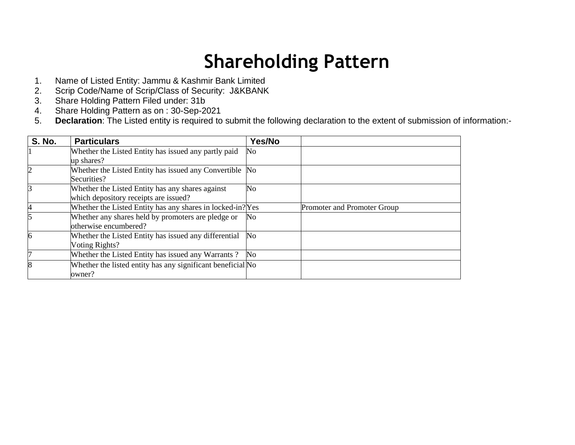## **Shareholding Pattern**

- 1. Name of Listed Entity: Jammu & Kashmir Bank Limited
- 2. Scrip Code/Name of Scrip/Class of Security: J&KBANK
- 3. Share Holding Pattern Filed under: 31b
- 4. Share Holding Pattern as on : 30-Sep-2021
- 5. **Declaration**: The Listed entity is required to submit the following declaration to the extent of submission of information:-

| <b>S. No.</b> | <b>Particulars</b>                                          | Yes/No         |                             |
|---------------|-------------------------------------------------------------|----------------|-----------------------------|
|               | Whether the Listed Entity has issued any partly paid        | No             |                             |
|               | up shares?                                                  |                |                             |
|               | Whether the Listed Entity has issued any Convertible No     |                |                             |
|               | Securities?                                                 |                |                             |
|               | Whether the Listed Entity has any shares against            | No             |                             |
|               | which depository receipts are issued?                       |                |                             |
|               | Whether the Listed Entity has any shares in locked-in? Yes  |                | Promoter and Promoter Group |
|               | Whether any shares held by promoters are pledge or          | No             |                             |
|               | otherwise encumbered?                                       |                |                             |
| 6             | Whether the Listed Entity has issued any differential       | $\rm No$       |                             |
|               | Voting Rights?                                              |                |                             |
|               | Whether the Listed Entity has issued any Warrants?          | N <sub>0</sub> |                             |
| 8             | Whether the listed entity has any significant beneficial No |                |                             |
|               | owner?                                                      |                |                             |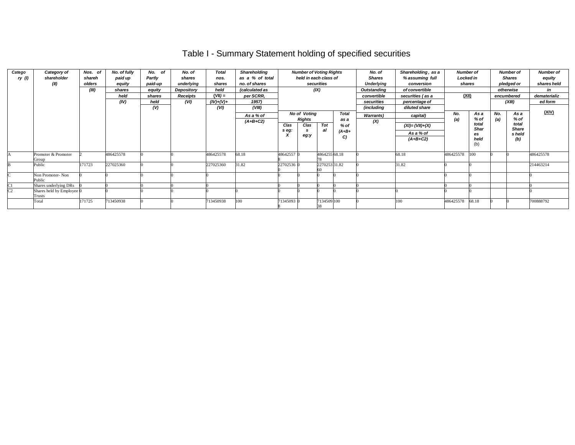## Table I - Summary Statement holding of specified securities

| Catego<br>ry (l) | Category of<br>shareholder<br>(II)  | Nos. of<br>shareh<br>olders<br>(III) | No. of fully<br>paid up<br>equity<br>shares<br>held<br>(IV) | No. of<br>Partly<br>paid-up<br>equity<br>shares<br>held<br>(V) | No. of<br>shares<br>underlying<br>Depository<br>Receipts<br>(VI) | <b>Total</b><br>nos.<br>shares<br>held<br>$(VII) =$<br>$(IV)+(V)+$<br>(VI) | <b>Shareholding</b><br>as a % of total<br>no. of shares<br>(calculated as<br>per SCRR.<br>1957)<br>(VIII) | <b>Number of Voting Rights</b><br>held in each class of<br>securities<br>(IX) |                                                      |               |                                                 |                          |                                                           |            |                                                    |            |                                                        |           |  |  |  |  |  | Shareholding, as a<br>No. of<br>% assuming full<br><b>Shares</b><br>Underlying<br>conversion<br>of convertible<br>Outstanding<br>convertible<br>securities (as a<br>securities<br>percentage of<br>(including<br>diluted share |  |  | Number of<br>Locked in<br>shares<br>(XII) |  | <b>Number of</b><br><b>Shares</b><br>pledged or<br>otherwise<br>encumbered<br>(XIII) | <b>Number of</b><br>equity<br>shares held<br>in<br>dematerializ<br>ed form |
|------------------|-------------------------------------|--------------------------------------|-------------------------------------------------------------|----------------------------------------------------------------|------------------------------------------------------------------|----------------------------------------------------------------------------|-----------------------------------------------------------------------------------------------------------|-------------------------------------------------------------------------------|------------------------------------------------------|---------------|-------------------------------------------------|--------------------------|-----------------------------------------------------------|------------|----------------------------------------------------|------------|--------------------------------------------------------|-----------|--|--|--|--|--|--------------------------------------------------------------------------------------------------------------------------------------------------------------------------------------------------------------------------------|--|--|-------------------------------------------|--|--------------------------------------------------------------------------------------|----------------------------------------------------------------------------|
|                  |                                     |                                      |                                                             |                                                                |                                                                  |                                                                            | As a % of<br>$(A+B+C2)$                                                                                   | Clas<br>s eg:                                                                 | <b>No of Voting</b><br><b>Rights</b><br>Clas<br>eg:y | Tot<br>al     | <b>Total</b><br>as a<br>$%$ of<br>$(A+B+$<br>C) | <b>Warrants</b> )<br>(X) | capital)<br>$(XI) = (VII)+(X)$<br>As a % of<br>$(A+B+C2)$ | No.<br>(a) | As a<br>% of<br>total<br>Shar<br>es<br>held<br>(b) | No.<br>(a) | As a<br>% of<br>total<br><b>Share</b><br>s held<br>(b) | (XIV)     |  |  |  |  |  |                                                                                                                                                                                                                                |  |  |                                           |  |                                                                                      |                                                                            |
|                  | Promoter & Promoter<br>Group        |                                      | 486425578                                                   |                                                                |                                                                  | 486425578                                                                  | 68.18                                                                                                     | 48642557 0                                                                    |                                                      | 4864255 68.18 |                                                 |                          | 68.18                                                     | 486425578  | 100                                                |            |                                                        | 486425578 |  |  |  |  |  |                                                                                                                                                                                                                                |  |  |                                           |  |                                                                                      |                                                                            |
|                  | Public                              | 171723                               | 227025360                                                   |                                                                |                                                                  | 227025360                                                                  | 31.82                                                                                                     | 22702536 0                                                                    |                                                      | 2270253 31.82 |                                                 |                          | 31.82                                                     |            |                                                    |            |                                                        | 214463214 |  |  |  |  |  |                                                                                                                                                                                                                                |  |  |                                           |  |                                                                                      |                                                                            |
|                  | Non Promoter-Non<br>Public          |                                      |                                                             |                                                                |                                                                  |                                                                            |                                                                                                           |                                                                               |                                                      |               |                                                 |                          |                                                           |            |                                                    |            |                                                        |           |  |  |  |  |  |                                                                                                                                                                                                                                |  |  |                                           |  |                                                                                      |                                                                            |
| C <sub>1</sub>   | Shares underlying DRs               |                                      |                                                             |                                                                |                                                                  |                                                                            |                                                                                                           |                                                                               |                                                      |               |                                                 |                          |                                                           |            |                                                    |            |                                                        |           |  |  |  |  |  |                                                                                                                                                                                                                                |  |  |                                           |  |                                                                                      |                                                                            |
| C <sub>2</sub>   | Shares held by Employee 0<br>Trusts |                                      |                                                             |                                                                |                                                                  |                                                                            |                                                                                                           |                                                                               |                                                      |               |                                                 |                          |                                                           |            |                                                    |            |                                                        |           |  |  |  |  |  |                                                                                                                                                                                                                                |  |  |                                           |  |                                                                                      |                                                                            |
|                  | Total                               | 171725                               | 713450938                                                   |                                                                |                                                                  | 713450938                                                                  | 100                                                                                                       | 71345093 0                                                                    |                                                      | 7134509 100   |                                                 |                          | 100                                                       | 486425578  | 68.18                                              |            |                                                        | 700888792 |  |  |  |  |  |                                                                                                                                                                                                                                |  |  |                                           |  |                                                                                      |                                                                            |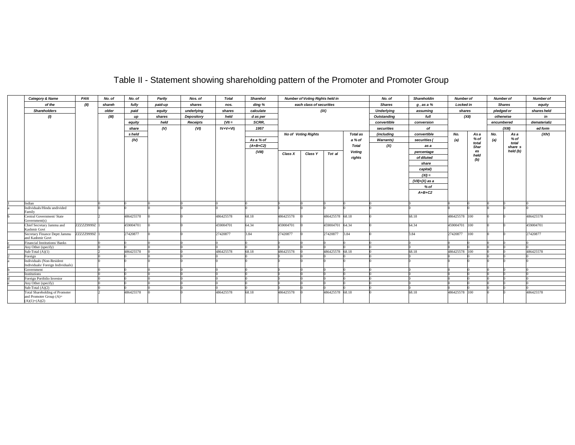## Table II - Statement showing shareholding pattern of the Promoter and Promoter Group

| Category & Name                                               | PAN        | No. of | No. of    | Partly  | Nos. of         | <b>Total</b> | <b>Sharehol</b> |           | <b>Number of Voting Rights held in</b> |                 |                 | No. of            | Shareholdin      | <b>Number of</b> |               | <b>Number of</b> |                 | <b>Number of</b> |
|---------------------------------------------------------------|------------|--------|-----------|---------|-----------------|--------------|-----------------|-----------|----------------------------------------|-----------------|-----------------|-------------------|------------------|------------------|---------------|------------------|-----------------|------------------|
| of the                                                        | (II)       | shareh | fully     | paid-up | shares          | nos.         | ding %          |           | each class of securities               |                 |                 | <b>Shares</b>     | g, as a %        | <b>Locked in</b> |               |                  | <b>Shares</b>   | equity           |
| <b>Shareholders</b>                                           |            | older  | paid      | equity  | underlying      | shares       | calculate       |           |                                        | (IX)            |                 | <b>Underlying</b> | assuming         | shares           |               | pledged or       |                 | shares held      |
| (1)                                                           |            | (III)  | up        | shares  | Depository      | held         | d as per        |           |                                        |                 | Outstanding     | full              | (XII)            |                  | otherwise     |                  | in              |                  |
|                                                               |            |        | equity    | held    | <b>Receipts</b> | $(VII =$     | SCRR,           |           |                                        |                 |                 | convertible       | conversion       |                  |               | encumbered       |                 | dematerializ     |
|                                                               |            |        |           |         |                 |              |                 |           |                                        |                 |                 |                   |                  |                  |               |                  |                 |                  |
|                                                               |            |        | share     | (V)     | (VI)            | $IV+V+VI$    | 1957            |           |                                        |                 |                 | securities        | of               |                  |               |                  | (XIII)          | ed form          |
|                                                               |            |        | s held    |         |                 |              |                 |           | <b>No of Voting Rights</b>             |                 | <b>Total as</b> | <i>(includina</i> | convertible      | No.              | As a          | No.              | Asa             | (XIV)            |
|                                                               |            |        | (IV)      |         |                 |              | As a % of       |           |                                        |                 | a % of          | <b>Warrants</b> ) | securities (     | (a)              | % of          | (a)              | $%$ of<br>total |                  |
|                                                               |            |        |           |         |                 |              | $(A+B+C2)$      |           |                                        |                 | Total           | (X)               | as a             |                  | total<br>Shar |                  | share s         |                  |
|                                                               |            |        |           |         |                 |              | (VIII)          |           |                                        |                 | Votina          |                   | percentage       |                  | es            |                  | held (b)        |                  |
|                                                               |            |        |           |         |                 |              |                 | Class X   | Class Y                                | Tot al          | rights          |                   | of diluted       |                  | held          |                  |                 |                  |
|                                                               |            |        |           |         |                 |              |                 |           |                                        |                 |                 |                   |                  |                  | (b)           |                  |                 |                  |
|                                                               |            |        |           |         |                 |              |                 |           |                                        |                 |                 |                   | share            |                  |               |                  |                 |                  |
|                                                               |            |        |           |         |                 |              |                 |           |                                        |                 |                 |                   | capital)         |                  |               |                  |                 |                  |
|                                                               |            |        |           |         |                 |              |                 |           |                                        |                 |                 |                   | $(XI) =$         |                  |               |                  |                 |                  |
|                                                               |            |        |           |         |                 |              |                 |           |                                        |                 |                 |                   | $(VII)+(X)$ as a |                  |               |                  |                 |                  |
|                                                               |            |        |           |         |                 |              |                 |           |                                        |                 |                 |                   | $%$ of           |                  |               |                  |                 |                  |
|                                                               |            |        |           |         |                 |              |                 |           |                                        |                 |                 |                   | $A+B+C2$         |                  |               |                  |                 |                  |
|                                                               |            |        |           |         |                 |              |                 |           |                                        |                 |                 |                   |                  |                  |               |                  |                 |                  |
| Indian                                                        |            |        |           |         |                 |              |                 |           |                                        |                 |                 |                   |                  |                  |               |                  |                 |                  |
| Individuals/Hindu undivided                                   |            |        |           |         |                 |              |                 |           |                                        |                 |                 |                   |                  |                  |               |                  |                 |                  |
| Family                                                        |            |        |           |         |                 |              |                 |           |                                        |                 |                 |                   |                  |                  |               |                  |                 |                  |
| Central Government/ State                                     |            |        | 486425578 |         |                 | 486425578    | 68.18           | 486425578 |                                        | 486425578 68.18 |                 |                   | 68.18            | 486425578 100    |               |                  |                 | 486425578        |
| Government(s)                                                 |            |        |           |         |                 |              |                 |           |                                        |                 |                 |                   |                  |                  |               |                  |                 |                  |
| Chief Secretary Jammu and<br>Kashmir Govt                     | ZZZZ29999Z |        | 459004701 |         |                 | 459004701    | 64.34           | 459004701 |                                        | 459004701 64.34 |                 |                   | 64.34            | 459004701 100    |               |                  |                 | 459004701        |
| Secretary Finance Deptt Jammu                                 | ZZZZZ9999Z |        | 27420877  |         |                 | 27420877     | 3.84            | 27420877  |                                        | 27420877        | <b>B.84</b>     |                   | 3.84             | 27420877         | 100           |                  |                 | 27420877         |
| and Kashmir Govt                                              |            |        |           |         |                 |              |                 |           |                                        |                 |                 |                   |                  |                  |               |                  |                 |                  |
| Financial Institutions/Banks                                  |            |        |           |         |                 |              |                 |           |                                        |                 |                 |                   |                  |                  |               |                  |                 |                  |
| Any Other (specify)                                           |            |        |           |         |                 |              |                 |           |                                        |                 |                 |                   |                  |                  |               |                  |                 |                  |
| Sub-Total $(A)(1)$                                            |            |        | 486425578 |         |                 | 486425578    | 68.18           | 486425578 |                                        | 486425578 68.18 |                 |                   | 68.18            | 486425578 100    |               |                  |                 | 486425578        |
| Foreign                                                       |            |        |           |         |                 |              |                 |           |                                        |                 |                 |                   |                  |                  |               |                  |                 |                  |
| Individuals (Non-Resident<br>Individuals/Foreign Individuals) |            |        |           |         |                 |              |                 |           |                                        |                 |                 |                   |                  |                  |               |                  |                 |                  |
| Government                                                    |            |        |           |         |                 |              |                 |           |                                        |                 |                 |                   |                  |                  |               |                  |                 |                  |
| <i><u><b>Institutions</b></u></i>                             |            |        |           |         |                 |              |                 |           |                                        |                 |                 |                   |                  |                  |               |                  |                 |                  |
| Foreign Portfolio Investor                                    |            |        |           |         |                 |              |                 |           |                                        |                 |                 |                   |                  |                  |               |                  |                 |                  |
| Any Other (specify)                                           |            |        |           |         |                 |              |                 |           |                                        |                 |                 |                   |                  |                  |               |                  |                 |                  |
| Sub-Total $(A)(2)$                                            |            |        |           |         |                 |              |                 |           |                                        |                 |                 |                   |                  |                  |               |                  |                 |                  |
| <b>Total Shareholding of Promoter</b>                         |            |        | 486425578 |         |                 | 486425578    | 68.18           | 486425578 |                                        | 486425578 68.18 |                 |                   | 68.18            | 486425578 100    |               |                  |                 | 486425578        |
| and Promoter Group (A)=                                       |            |        |           |         |                 |              |                 |           |                                        |                 |                 |                   |                  |                  |               |                  |                 |                  |
| $(A)(1)+(A)(2)$                                               |            |        |           |         |                 |              |                 |           |                                        |                 |                 |                   |                  |                  |               |                  |                 |                  |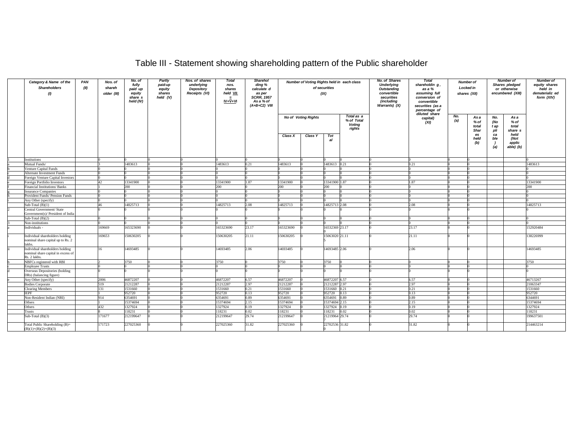| Table III - Statement showing shareholding pattern of the Public shareholder |  |
|------------------------------------------------------------------------------|--|
|                                                                              |  |

| Category & Name of the<br><b>Shareholders</b><br>(1)                                  | PAN<br>(II) | Nos. of<br>shareh<br>older (III) | No. of<br>fully<br>paid up<br>equity<br>share s<br>held (IV) | Partly<br>paid-up<br>equity<br>shares<br>held $(V)$ | Nos. of shares<br>underlying<br>Depository<br>Receipts (VI) | <b>Total</b><br>nos.<br>shares<br>held VII<br>$IV + V + VI$ | <b>Sharehol</b><br>ding %<br>calculate d<br>as per<br><b>SCRR, 1957</b><br>As a % of<br>$(A+B+C2)$ VIII |                | Number of Voting Rights held in each class | of securities<br>(IX) |                                                     | <b>No. of Shares</b><br><b>Underlying</b><br>Outstanding<br>convertible<br>securities<br>(including<br>Warrants) (X) | <b>Total</b><br>shareholdin g,<br>as a %<br>assuming full<br>conversion of<br>convertible<br>securities (as a<br>percentage of | <b>Number of</b><br>Locked in<br>shares (XII)<br>diluted share |                              | <b>Number of</b><br>Shares pledged<br>or otherwise<br>encumbered (XIII) |                                     | <b>Number of</b><br>equity shares<br>held in<br>dematerializ ed<br>form (XIV) |
|---------------------------------------------------------------------------------------|-------------|----------------------------------|--------------------------------------------------------------|-----------------------------------------------------|-------------------------------------------------------------|-------------------------------------------------------------|---------------------------------------------------------------------------------------------------------|----------------|--------------------------------------------|-----------------------|-----------------------------------------------------|----------------------------------------------------------------------------------------------------------------------|--------------------------------------------------------------------------------------------------------------------------------|----------------------------------------------------------------|------------------------------|-------------------------------------------------------------------------|-------------------------------------|-------------------------------------------------------------------------------|
|                                                                                       |             |                                  |                                                              |                                                     |                                                             |                                                             |                                                                                                         |                | <b>No of Voting Rights</b>                 |                       | Total as a<br>% of Total<br><b>Voting</b><br>rights |                                                                                                                      | capital)<br>(XI)                                                                                                               | No.<br>(a)                                                     | Asa<br>% of<br>total<br>Shar | No.<br>(No<br>t ap<br>pli                                               | Asa<br>$%$ of<br>total<br>share s   |                                                                               |
|                                                                                       |             |                                  |                                                              |                                                     |                                                             |                                                             |                                                                                                         | <b>Class X</b> | <b>Class Y</b>                             | Tot<br>al             |                                                     |                                                                                                                      |                                                                                                                                |                                                                | es<br>held<br>(b)            | ca<br>ble<br>- 1<br>(a)                                                 | held<br>(Not<br>applic<br>able) (b) |                                                                               |
| Institutions                                                                          |             |                                  |                                                              |                                                     |                                                             |                                                             |                                                                                                         |                |                                            |                       |                                                     |                                                                                                                      |                                                                                                                                |                                                                |                              |                                                                         |                                     |                                                                               |
| Mutual Funds/                                                                         |             |                                  | 1483613                                                      |                                                     |                                                             | 1483613                                                     | 0.21                                                                                                    | 1483613        |                                            | 1483613 0.21          |                                                     |                                                                                                                      | 0.21                                                                                                                           |                                                                |                              |                                                                         |                                     | 1483613                                                                       |
| Venture Capital Funds                                                                 |             |                                  |                                                              |                                                     |                                                             |                                                             |                                                                                                         |                |                                            |                       |                                                     |                                                                                                                      |                                                                                                                                |                                                                |                              |                                                                         |                                     |                                                                               |
| Alternate Investment Funds                                                            |             |                                  |                                                              |                                                     |                                                             |                                                             |                                                                                                         |                |                                            |                       |                                                     |                                                                                                                      |                                                                                                                                |                                                                |                              |                                                                         |                                     |                                                                               |
| Foreign Venture Capital Investors                                                     |             |                                  |                                                              |                                                     |                                                             |                                                             |                                                                                                         |                |                                            |                       |                                                     |                                                                                                                      |                                                                                                                                |                                                                |                              |                                                                         |                                     |                                                                               |
| Foreign Portfolio Investors                                                           |             | 42.                              | 13341900                                                     |                                                     |                                                             | 13341900                                                    | 1.87                                                                                                    | 13341900       |                                            | 3341900               | 1.87                                                |                                                                                                                      | 1.87                                                                                                                           |                                                                |                              |                                                                         |                                     | 13341900                                                                      |
| <b>Financial Institutions/Banks</b>                                                   |             |                                  | 200                                                          |                                                     |                                                             | 200                                                         |                                                                                                         | 200            |                                            | 200                   |                                                     |                                                                                                                      |                                                                                                                                |                                                                |                              |                                                                         |                                     | 200                                                                           |
| <b>Insurance Companies</b>                                                            |             |                                  |                                                              |                                                     |                                                             |                                                             |                                                                                                         |                |                                            |                       |                                                     |                                                                                                                      |                                                                                                                                |                                                                |                              |                                                                         |                                     |                                                                               |
| Provident Funds/ Pension Funds                                                        |             |                                  |                                                              |                                                     |                                                             |                                                             |                                                                                                         |                |                                            |                       |                                                     |                                                                                                                      |                                                                                                                                |                                                                |                              |                                                                         |                                     |                                                                               |
| Any Other (specify)                                                                   |             | 46                               |                                                              |                                                     |                                                             |                                                             |                                                                                                         |                |                                            |                       |                                                     |                                                                                                                      |                                                                                                                                |                                                                |                              |                                                                         |                                     |                                                                               |
| Sub-Total $(B)(1)$                                                                    |             |                                  | 14825713                                                     |                                                     |                                                             | 14825713                                                    | 2.08                                                                                                    | 14825713       |                                            | 4825713 2.08          |                                                     |                                                                                                                      | 2.08                                                                                                                           |                                                                |                              |                                                                         |                                     | 14825713                                                                      |
| Central Government/ State<br>Government(s)/ President of India                        |             |                                  |                                                              |                                                     |                                                             |                                                             |                                                                                                         |                |                                            |                       |                                                     |                                                                                                                      |                                                                                                                                |                                                                |                              |                                                                         |                                     |                                                                               |
| Sub-Total $(B)(2)$                                                                    |             |                                  |                                                              |                                                     |                                                             |                                                             |                                                                                                         |                |                                            |                       |                                                     |                                                                                                                      |                                                                                                                                |                                                                |                              |                                                                         |                                     |                                                                               |
| Non-institutions                                                                      |             |                                  |                                                              |                                                     |                                                             |                                                             |                                                                                                         |                |                                            |                       |                                                     |                                                                                                                      |                                                                                                                                |                                                                |                              |                                                                         |                                     |                                                                               |
| Individuals -                                                                         |             | 169669                           | 165323690                                                    |                                                     |                                                             | 165323690                                                   | 23.17                                                                                                   | 165323690      |                                            | 6532369 23.17         |                                                     |                                                                                                                      | 23.17                                                                                                                          |                                                                |                              |                                                                         |                                     | 152920484                                                                     |
| Individual shareholders holding<br>nominal share capital up to Rs. 2<br>lakhs.        |             | 169653                           | 150630205                                                    |                                                     |                                                             | 150630205                                                   | 21.11                                                                                                   | 150630205      |                                            | 5063020 21.11         |                                                     |                                                                                                                      | 21.11                                                                                                                          |                                                                |                              |                                                                         |                                     | 38226999                                                                      |
| Individual shareholders holding<br>nominal share capital in excess of<br>Rs. 2 lakhs. |             | 16                               | 14693485                                                     |                                                     |                                                             | 14693485                                                    | 2.06                                                                                                    | 14693485       |                                            | 4693485 2.06          |                                                     |                                                                                                                      | 2.06                                                                                                                           |                                                                |                              |                                                                         |                                     | 14693485                                                                      |
| NBFCs registered with RBI                                                             |             |                                  | 3750                                                         |                                                     |                                                             | 3750                                                        |                                                                                                         | 3750           |                                            | 3750                  |                                                     |                                                                                                                      |                                                                                                                                |                                                                |                              |                                                                         |                                     | 3750                                                                          |
| <b>Employee Trusts</b>                                                                |             |                                  |                                                              |                                                     |                                                             |                                                             |                                                                                                         |                |                                            |                       |                                                     |                                                                                                                      |                                                                                                                                |                                                                |                              |                                                                         |                                     |                                                                               |
| Overseas Depositories (holding<br>DRs) (balancing figure)                             |             |                                  |                                                              |                                                     |                                                             |                                                             |                                                                                                         |                |                                            |                       |                                                     |                                                                                                                      |                                                                                                                                |                                                                |                              |                                                                         |                                     |                                                                               |
| Any Other (specify)                                                                   |             | 2006                             | 46872207                                                     |                                                     |                                                             | 46872207                                                    | 6.57                                                                                                    | 46872207       |                                            | 46872207 6.57         |                                                     |                                                                                                                      | 6.57                                                                                                                           |                                                                |                              |                                                                         |                                     | 46713267                                                                      |
| <b>Bodies Corporate</b>                                                               |             | 519                              | 21212287                                                     |                                                     |                                                             | 21212287                                                    | 2.97                                                                                                    | 21212287       |                                            | 21212287              | .97                                                 |                                                                                                                      | 2.97                                                                                                                           |                                                                |                              |                                                                         |                                     | 21063347                                                                      |
| <b>Clearing Members</b>                                                               |             | 131                              | 1531660                                                      |                                                     |                                                             | 1531660                                                     | 0.21                                                                                                    | 1531660        |                                            | 531660                | 0.21                                                |                                                                                                                      | 0.21                                                                                                                           |                                                                |                              |                                                                         |                                     | 1531660                                                                       |
| IEPF                                                                                  |             |                                  | 952720                                                       |                                                     |                                                             | 952720                                                      | 0.13                                                                                                    | 952720         |                                            | 52720                 | 0.13                                                |                                                                                                                      | 0.13                                                                                                                           |                                                                |                              |                                                                         |                                     | 952720                                                                        |
| Non-Resident Indian (NRI)                                                             |             | 914                              | 6354691                                                      |                                                     |                                                             | 5354691                                                     | 0.89                                                                                                    | 6354691        |                                            | 354691                | 0.89                                                |                                                                                                                      | 0.89                                                                                                                           |                                                                |                              |                                                                         |                                     | 6344691                                                                       |
| Others                                                                                |             |                                  | 15374694                                                     |                                                     |                                                             | 15374694                                                    | 2.15                                                                                                    | 15374694       |                                            | 5374694               | 2.15                                                |                                                                                                                      | 2.15                                                                                                                           |                                                                |                              |                                                                         |                                     | 15374694                                                                      |
| Others                                                                                |             | 432                              | 1327924                                                      |                                                     |                                                             | 1327924                                                     | 0.19                                                                                                    | 1327924        |                                            | 327924                | 0.19                                                |                                                                                                                      | 0.19                                                                                                                           |                                                                |                              |                                                                         |                                     | 1327924                                                                       |
| Trusts                                                                                |             |                                  | 118231                                                       |                                                     |                                                             | 18231                                                       | 0.02                                                                                                    | 118231         |                                            | 18231                 | 0.02                                                |                                                                                                                      | 0.02                                                                                                                           |                                                                |                              |                                                                         |                                     | 118231                                                                        |
| Sub-Total $(B)(3)$                                                                    |             | 171677                           | 212199647                                                    |                                                     |                                                             | 12199647                                                    | 29.74                                                                                                   | 212199647      |                                            | 21219964 29.74        |                                                     |                                                                                                                      | 29.74                                                                                                                          |                                                                |                              |                                                                         |                                     | 199637501                                                                     |
| Total Public Shareholding (B)=<br>$(B)(1)+(B)(2)+(B)(3)$                              |             | 171723                           | 227025360                                                    |                                                     |                                                             | 27025360                                                    | 31.82                                                                                                   | 227025360      |                                            | 2702536 31.82         |                                                     |                                                                                                                      | 31.82                                                                                                                          |                                                                |                              |                                                                         |                                     | 214463214                                                                     |